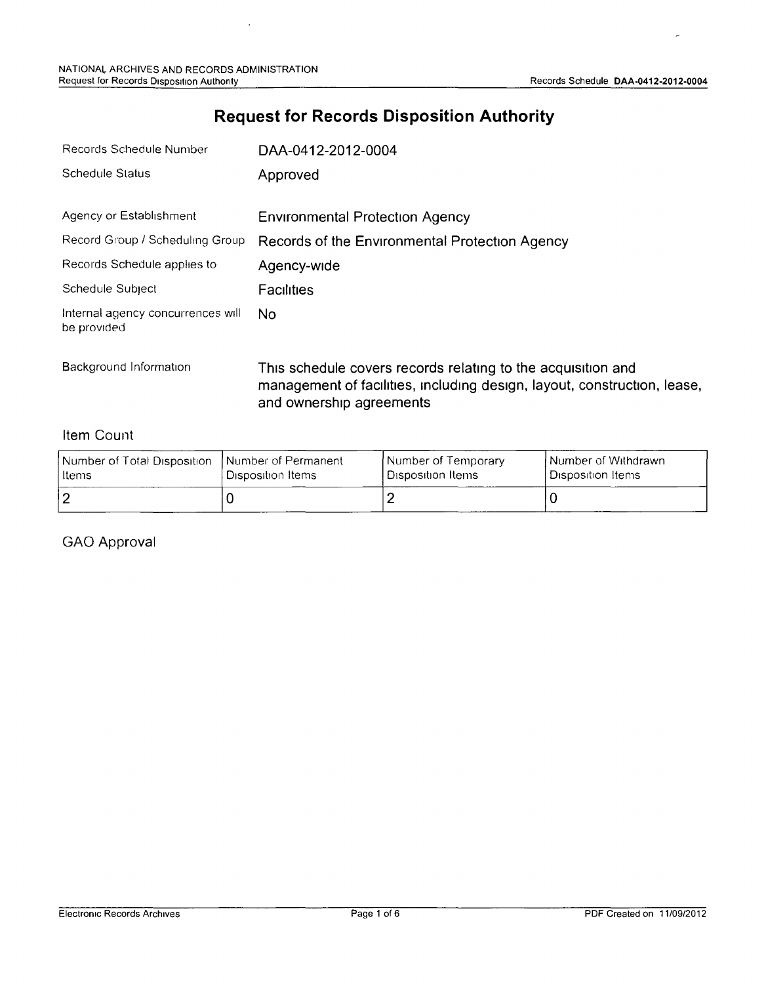## **Request for Records Disposition Authority**

| Records Schedule Number                          | DAA-0412-2012-0004                                            |  |  |  |
|--------------------------------------------------|---------------------------------------------------------------|--|--|--|
| Schedule Status                                  | Approved                                                      |  |  |  |
| Agency or Establishment                          | <b>Environmental Protection Agency</b>                        |  |  |  |
| Record Group / Scheduling Group                  | Records of the Environmental Protection Agency                |  |  |  |
| Records Schedule applies to                      | Agency-wide                                                   |  |  |  |
| Schedule Subject                                 | <b>Facilities</b>                                             |  |  |  |
| Internal agency concurrences will<br>be provided | No.                                                           |  |  |  |
| Background Information                           | This schoolule covers records relating to the acquisition and |  |  |  |

Background Information Thrs **schedule covers records relating to the** acqursrtron **and management of facilities, including** desiqn, **layout, construction, lease, and ownership agreements**

#### **Item** Count

| Number of Total Disposition | I Number of Permanent | Number of Temporary | l Number of Withdrawn. |
|-----------------------------|-----------------------|---------------------|------------------------|
| l Items                     | ' Disposition Items   | Disposition Items   | Disposition Items      |
|                             |                       |                     |                        |

### GAO **Approval**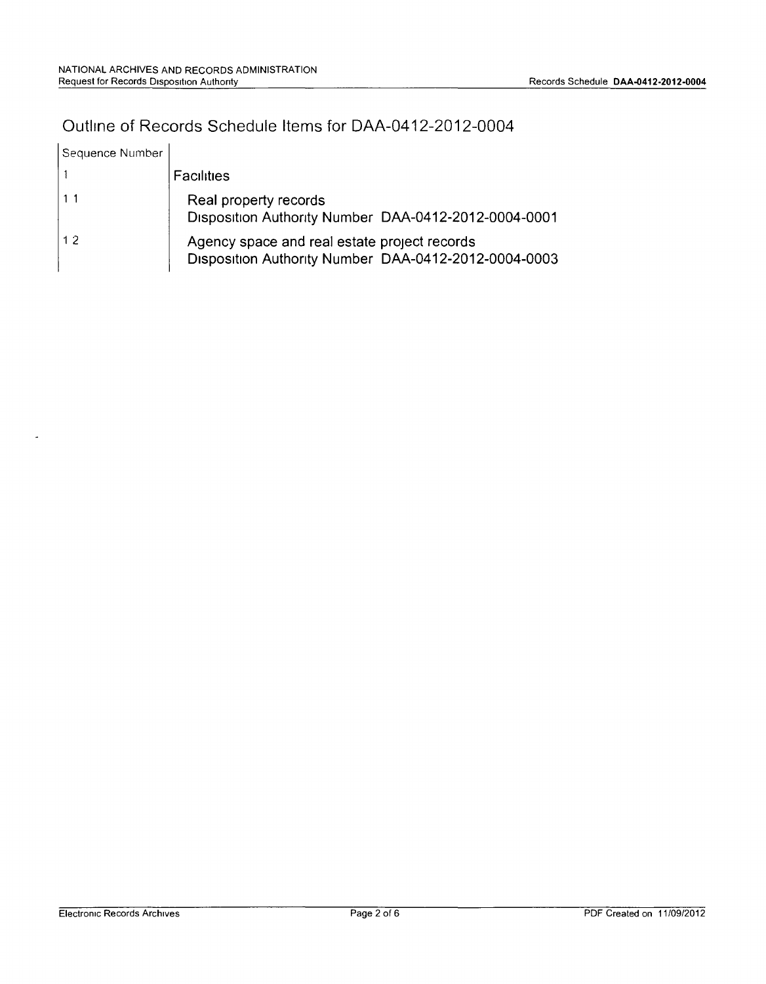# Outline of Records Schedule Items for DAA-0412-2012-0004

| Sequence Number |                                                                                                      |
|-----------------|------------------------------------------------------------------------------------------------------|
|                 | Facilities                                                                                           |
| 111             | Real property records<br>Disposition Authority Number DAA-0412-2012-0004-0001                        |
| 1.2.            | Agency space and real estate project records<br>Disposition Authority Number DAA-0412-2012-0004-0003 |

 $\overline{a}$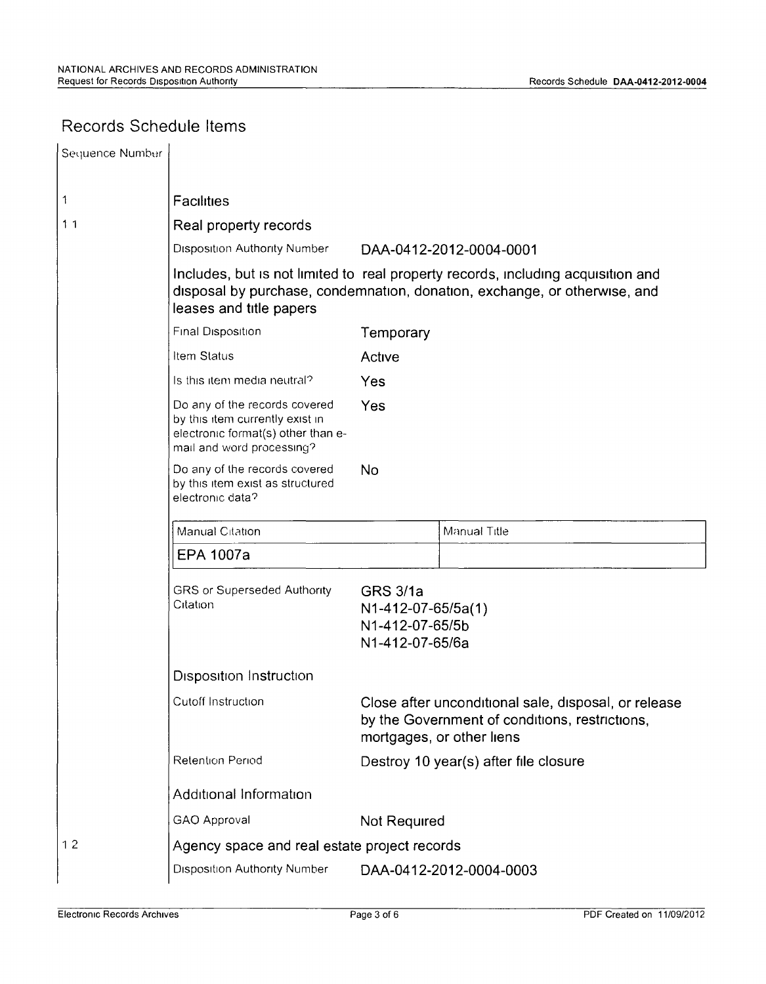## Records Schedule Items

| Sequence Number |                                                                                                                                                                                          |                                                                             |                                                                                                                                     |  |  |
|-----------------|------------------------------------------------------------------------------------------------------------------------------------------------------------------------------------------|-----------------------------------------------------------------------------|-------------------------------------------------------------------------------------------------------------------------------------|--|--|
| 1               | <b>Facilities</b>                                                                                                                                                                        |                                                                             |                                                                                                                                     |  |  |
| 11              | Real property records                                                                                                                                                                    |                                                                             |                                                                                                                                     |  |  |
|                 | <b>Disposition Authority Number</b>                                                                                                                                                      |                                                                             | DAA-0412-2012-0004-0001                                                                                                             |  |  |
|                 | Includes, but is not limited to real property records, including acquisition and<br>disposal by purchase, condemnation, donation, exchange, or otherwise, and<br>leases and title papers |                                                                             |                                                                                                                                     |  |  |
|                 | Final Disposition<br>Temporary                                                                                                                                                           |                                                                             |                                                                                                                                     |  |  |
|                 | Item Status                                                                                                                                                                              | Active                                                                      |                                                                                                                                     |  |  |
|                 | Is this item media neutral?                                                                                                                                                              | Yes                                                                         |                                                                                                                                     |  |  |
|                 | Do any of the records covered<br>by this item currently exist in<br>electronic format(s) other than e-<br>mail and word processing?                                                      | Yes                                                                         |                                                                                                                                     |  |  |
|                 | Do any of the records covered<br>by this item exist as structured<br>electronic data?                                                                                                    | <b>No</b>                                                                   |                                                                                                                                     |  |  |
|                 | Manual Citation                                                                                                                                                                          |                                                                             | Manual Title                                                                                                                        |  |  |
|                 | <b>EPA 1007a</b>                                                                                                                                                                         |                                                                             |                                                                                                                                     |  |  |
|                 | GRS or Superseded Authority<br>Citation                                                                                                                                                  | <b>GRS 3/1a</b><br>N1-412-07-65/5a(1)<br>N1-412-07-65/5b<br>N1-412-07-65/6a |                                                                                                                                     |  |  |
|                 | <b>Disposition Instruction</b>                                                                                                                                                           |                                                                             |                                                                                                                                     |  |  |
|                 | Cutoff Instruction                                                                                                                                                                       |                                                                             | Close after unconditional sale, disposal, or release<br>by the Government of conditions, restrictions,<br>mortgages, or other liens |  |  |
|                 | Retention Period                                                                                                                                                                         |                                                                             | Destroy 10 year(s) after file closure                                                                                               |  |  |
|                 | Additional Information                                                                                                                                                                   |                                                                             |                                                                                                                                     |  |  |
|                 | GAO Approval                                                                                                                                                                             |                                                                             | Not Required                                                                                                                        |  |  |
| 12              |                                                                                                                                                                                          | Agency space and real estate project records                                |                                                                                                                                     |  |  |
|                 | <b>Disposition Authority Number</b>                                                                                                                                                      |                                                                             | DAA-0412-2012-0004-0003                                                                                                             |  |  |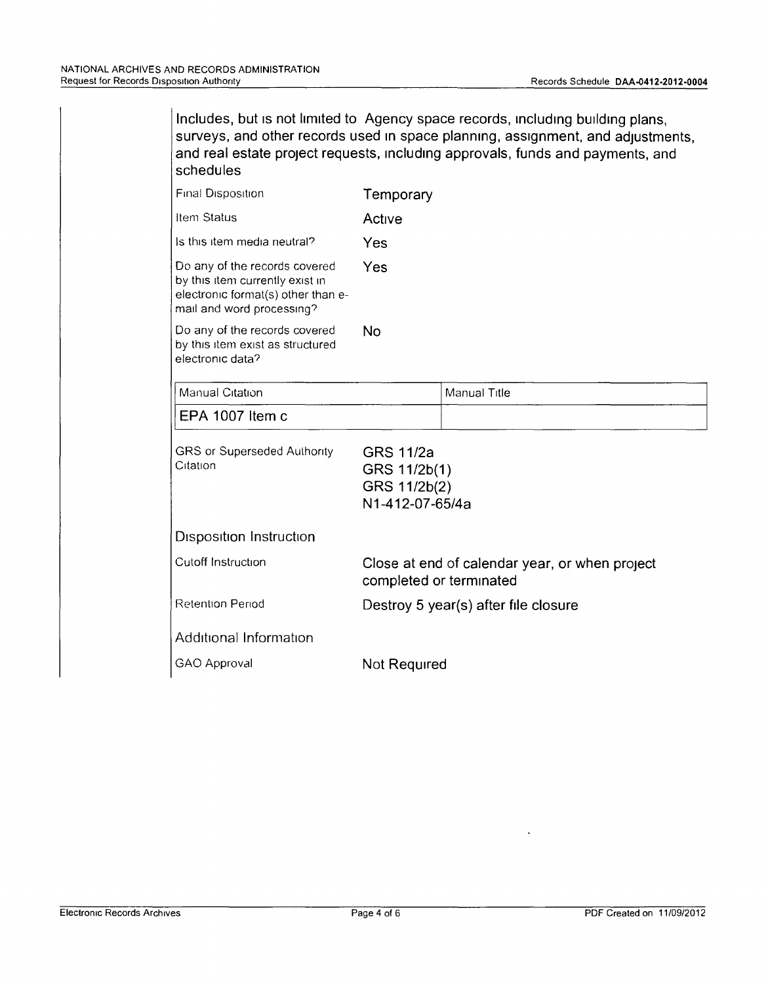Includes, but is not limited to Agency space records, including building plans, surveys, and other records used in space planning, assignment, and adjustments, and real estate project requests, Including approvals, funds and payments, and schedules

| Final Disposition                                                                                                                   | Temporary                                                           |                                                |
|-------------------------------------------------------------------------------------------------------------------------------------|---------------------------------------------------------------------|------------------------------------------------|
| Item Status                                                                                                                         | Active                                                              |                                                |
| Is this item media neutral?                                                                                                         | Yes                                                                 |                                                |
| Do any of the records covered<br>by this item currently exist in<br>electronic format(s) other than e-<br>mail and word processing? | Yes                                                                 |                                                |
| Do any of the records covered<br>by this item exist as structured<br>electronic data?                                               | No                                                                  |                                                |
| Manual Citation                                                                                                                     |                                                                     | Manual Title                                   |
| EPA 1007 Item c                                                                                                                     |                                                                     |                                                |
| GRS or Superseded Authority<br>Citation                                                                                             | <b>GRS 11/2a</b><br>GRS 11/2b(1)<br>GRS 11/2b(2)<br>N1-412-07-65/4a |                                                |
|                                                                                                                                     |                                                                     |                                                |
| Disposition Instruction                                                                                                             |                                                                     |                                                |
| Cutoff Instruction                                                                                                                  | completed or terminated                                             | Close at end of calendar year, or when project |
| <b>Retention Period</b>                                                                                                             |                                                                     | Destroy 5 year(s) after file closure           |
| Additional Information                                                                                                              |                                                                     |                                                |